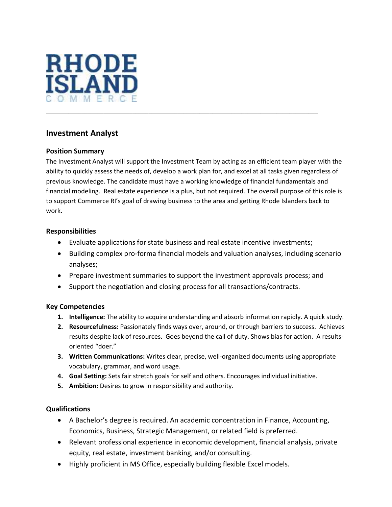

## **Investment Analyst**

### **Position Summary**

The Investment Analyst will support the Investment Team by acting as an efficient team player with the ability to quickly assess the needs of, develop a work plan for, and excel at all tasks given regardless of previous knowledge. The candidate must have a working knowledge of financial fundamentals and financial modeling. Real estate experience is a plus, but not required. The overall purpose of this role is to support Commerce RI's goal of drawing business to the area and getting Rhode Islanders back to work.

\_\_\_\_\_\_\_\_\_\_\_\_\_\_\_\_\_\_\_\_\_\_\_\_\_\_\_\_\_\_\_\_\_\_\_\_\_\_\_\_\_\_\_\_\_\_\_\_\_\_\_\_\_\_\_\_\_\_\_\_\_\_\_\_\_\_\_\_\_\_\_\_\_\_\_\_\_\_\_\_\_\_\_\_\_

#### **Responsibilities**

- Evaluate applications for state business and real estate incentive investments;
- Building complex pro-forma financial models and valuation analyses, including scenario analyses;
- Prepare investment summaries to support the investment approvals process; and
- Support the negotiation and closing process for all transactions/contracts.

#### **Key Competencies**

- **1. Intelligence:** The ability to acquire understanding and absorb information rapidly. A quick study.
- **2. Resourcefulness:** Passionately finds ways over, around, or through barriers to success. Achieves results despite lack of resources. Goes beyond the call of duty. Shows bias for action. A resultsoriented "doer."
- **3. Written Communications:** Writes clear, precise, well-organized documents using appropriate vocabulary, grammar, and word usage.
- **4. Goal Setting:** Sets fair stretch goals for self and others. Encourages individual initiative.
- **5. Ambition:** Desires to grow in responsibility and authority.

#### **Qualifications**

- A Bachelor's degree is required. An academic concentration in Finance, Accounting, Economics, Business, Strategic Management, or related field is preferred.
- Relevant professional experience in economic development, financial analysis, private equity, real estate, investment banking, and/or consulting.
- Highly proficient in MS Office, especially building flexible Excel models.